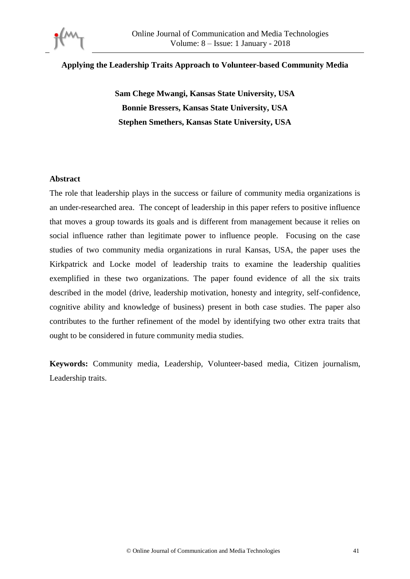

### **Applying the Leadership Traits Approach to Volunteer-based Community Media**

**Sam Chege Mwangi, Kansas State University, USA Bonnie Bressers, Kansas State University, USA Stephen Smethers, Kansas State University, USA**

### **Abstract**

The role that leadership plays in the success or failure of community media organizations is an under-researched area. The concept of leadership in this paper refers to positive influence that moves a group towards its goals and is different from management because it relies on social influence rather than legitimate power to influence people. Focusing on the case studies of two community media organizations in rural Kansas, USA, the paper uses the Kirkpatrick and Locke model of leadership traits to examine the leadership qualities exemplified in these two organizations. The paper found evidence of all the six traits described in the model (drive, leadership motivation, honesty and integrity, self-confidence, cognitive ability and knowledge of business) present in both case studies. The paper also contributes to the further refinement of the model by identifying two other extra traits that ought to be considered in future community media studies.

**Keywords:** Community media, Leadership, Volunteer-based media, Citizen journalism, Leadership traits.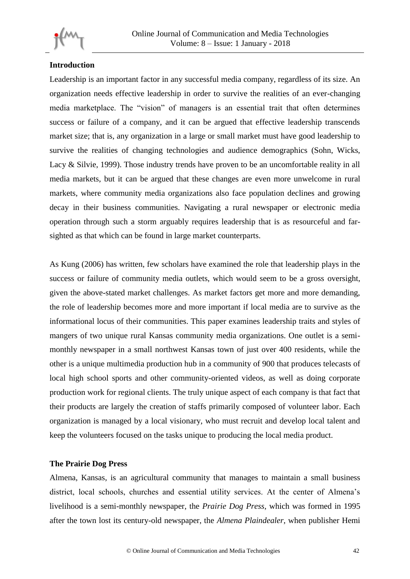

# **Introduction**

Leadership is an important factor in any successful media company, regardless of its size. An organization needs effective leadership in order to survive the realities of an ever-changing media marketplace. The "vision" of managers is an essential trait that often determines success or failure of a company, and it can be argued that effective leadership transcends market size; that is, any organization in a large or small market must have good leadership to survive the realities of changing technologies and audience demographics (Sohn, Wicks, Lacy & Silvie, 1999). Those industry trends have proven to be an uncomfortable reality in all media markets, but it can be argued that these changes are even more unwelcome in rural markets, where community media organizations also face population declines and growing decay in their business communities. Navigating a rural newspaper or electronic media operation through such a storm arguably requires leadership that is as resourceful and farsighted as that which can be found in large market counterparts.

As Kung (2006) has written, few scholars have examined the role that leadership plays in the success or failure of community media outlets, which would seem to be a gross oversight, given the above-stated market challenges. As market factors get more and more demanding, the role of leadership becomes more and more important if local media are to survive as the informational locus of their communities. This paper examines leadership traits and styles of mangers of two unique rural Kansas community media organizations. One outlet is a semimonthly newspaper in a small northwest Kansas town of just over 400 residents, while the other is a unique multimedia production hub in a community of 900 that produces telecasts of local high school sports and other community-oriented videos, as well as doing corporate production work for regional clients. The truly unique aspect of each company is that fact that their products are largely the creation of staffs primarily composed of volunteer labor. Each organization is managed by a local visionary, who must recruit and develop local talent and keep the volunteers focused on the tasks unique to producing the local media product.

## **The Prairie Dog Press**

Almena, Kansas, is an agricultural community that manages to maintain a small business district, local schools, churches and essential utility services. At the center of Almena's livelihood is a semi-monthly newspaper, the *Prairie Dog Press*, which was formed in 1995 after the town lost its century-old newspaper, the *Almena Plaindealer*, when publisher Hemi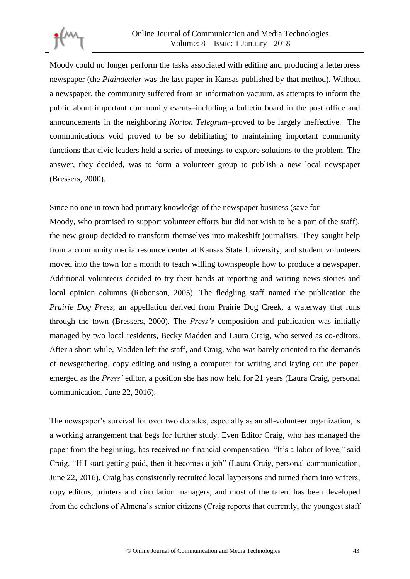

Moody could no longer perform the tasks associated with editing and producing a letterpress newspaper (the *Plaindealer* was the last paper in Kansas published by that method). Without a newspaper, the community suffered from an information vacuum, as attempts to inform the public about important community events–including a bulletin board in the post office and announcements in the neighboring *Norton Telegram*–proved to be largely ineffective. The communications void proved to be so debilitating to maintaining important community functions that civic leaders held a series of meetings to explore solutions to the problem. The answer, they decided, was to form a volunteer group to publish a new local newspaper (Bressers, 2000).

Since no one in town had primary knowledge of the newspaper business (save for

Moody, who promised to support volunteer efforts but did not wish to be a part of the staff), the new group decided to transform themselves into makeshift journalists. They sought help from a community media resource center at Kansas State University, and student volunteers moved into the town for a month to teach willing townspeople how to produce a newspaper. Additional volunteers decided to try their hands at reporting and writing news stories and local opinion columns (Robonson, 2005). The fledgling staff named the publication the *Prairie Dog Press*, an appellation derived from Prairie Dog Creek, a waterway that runs through the town (Bressers, 2000). The *Press's* composition and publication was initially managed by two local residents, Becky Madden and Laura Craig, who served as co-editors. After a short while, Madden left the staff, and Craig, who was barely oriented to the demands of newsgathering, copy editing and using a computer for writing and laying out the paper, emerged as the *Press'* editor, a position she has now held for 21 years (Laura Craig, personal communication, June 22, 2016).

The newspaper's survival for over two decades, especially as an all-volunteer organization, is a working arrangement that begs for further study. Even Editor Craig, who has managed the paper from the beginning, has received no financial compensation. "It's a labor of love," said Craig. "If I start getting paid, then it becomes a job" (Laura Craig, personal communication, June 22, 2016). Craig has consistently recruited local laypersons and turned them into writers, copy editors, printers and circulation managers, and most of the talent has been developed from the echelons of Almena's senior citizens (Craig reports that currently, the youngest staff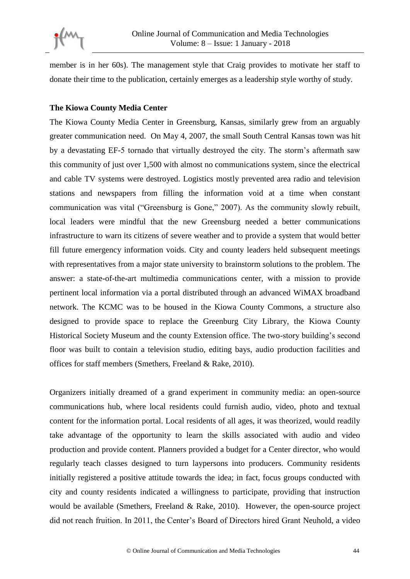

member is in her 60s). The management style that Craig provides to motivate her staff to donate their time to the publication, certainly emerges as a leadership style worthy of study.

## **The Kiowa County Media Center**

The Kiowa County Media Center in Greensburg, Kansas, similarly grew from an arguably greater communication need. On May 4, 2007, the small South Central Kansas town was hit by a devastating EF-5 tornado that virtually destroyed the city. The storm's aftermath saw this community of just over 1,500 with almost no communications system, since the electrical and cable TV systems were destroyed. Logistics mostly prevented area radio and television stations and newspapers from filling the information void at a time when constant communication was vital ("Greensburg is Gone," 2007). As the community slowly rebuilt, local leaders were mindful that the new Greensburg needed a better communications infrastructure to warn its citizens of severe weather and to provide a system that would better fill future emergency information voids. City and county leaders held subsequent meetings with representatives from a major state university to brainstorm solutions to the problem. The answer: a state-of-the-art multimedia communications center, with a mission to provide pertinent local information via a portal distributed through an advanced WiMAX broadband network. The KCMC was to be housed in the Kiowa County Commons, a structure also designed to provide space to replace the Greenburg City Library, the Kiowa County Historical Society Museum and the county Extension office. The two-story building's second floor was built to contain a television studio, editing bays, audio production facilities and offices for staff members (Smethers, Freeland & Rake, 2010).

Organizers initially dreamed of a grand experiment in community media: an open-source communications hub, where local residents could furnish audio, video, photo and textual content for the information portal. Local residents of all ages, it was theorized, would readily take advantage of the opportunity to learn the skills associated with audio and video production and provide content. Planners provided a budget for a Center director, who would regularly teach classes designed to turn laypersons into producers. Community residents initially registered a positive attitude towards the idea; in fact, focus groups conducted with city and county residents indicated a willingness to participate, providing that instruction would be available (Smethers, Freeland & Rake, 2010). However, the open-source project did not reach fruition. In 2011, the Center's Board of Directors hired Grant Neuhold, a video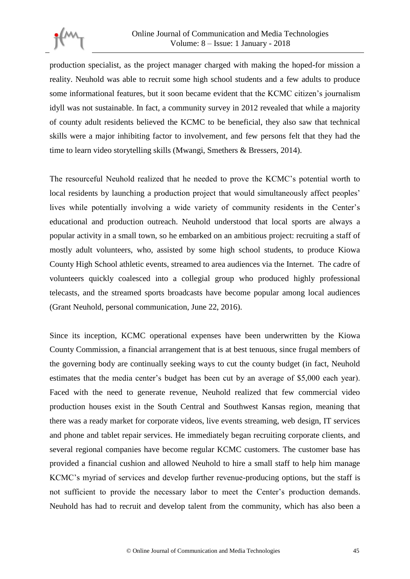

production specialist, as the project manager charged with making the hoped-for mission a reality. Neuhold was able to recruit some high school students and a few adults to produce some informational features, but it soon became evident that the KCMC citizen's journalism idyll was not sustainable. In fact, a community survey in 2012 revealed that while a majority of county adult residents believed the KCMC to be beneficial, they also saw that technical skills were a major inhibiting factor to involvement, and few persons felt that they had the time to learn video storytelling skills (Mwangi, Smethers & Bressers, 2014).

The resourceful Neuhold realized that he needed to prove the KCMC's potential worth to local residents by launching a production project that would simultaneously affect peoples' lives while potentially involving a wide variety of community residents in the Center's educational and production outreach. Neuhold understood that local sports are always a popular activity in a small town, so he embarked on an ambitious project: recruiting a staff of mostly adult volunteers, who, assisted by some high school students, to produce Kiowa County High School athletic events, streamed to area audiences via the Internet. The cadre of volunteers quickly coalesced into a collegial group who produced highly professional telecasts, and the streamed sports broadcasts have become popular among local audiences (Grant Neuhold, personal communication, June 22, 2016).

Since its inception, KCMC operational expenses have been underwritten by the Kiowa County Commission, a financial arrangement that is at best tenuous, since frugal members of the governing body are continually seeking ways to cut the county budget (in fact, Neuhold estimates that the media center's budget has been cut by an average of \$5,000 each year). Faced with the need to generate revenue, Neuhold realized that few commercial video production houses exist in the South Central and Southwest Kansas region, meaning that there was a ready market for corporate videos, live events streaming, web design, IT services and phone and tablet repair services. He immediately began recruiting corporate clients, and several regional companies have become regular KCMC customers. The customer base has provided a financial cushion and allowed Neuhold to hire a small staff to help him manage KCMC's myriad of services and develop further revenue-producing options, but the staff is not sufficient to provide the necessary labor to meet the Center's production demands. Neuhold has had to recruit and develop talent from the community, which has also been a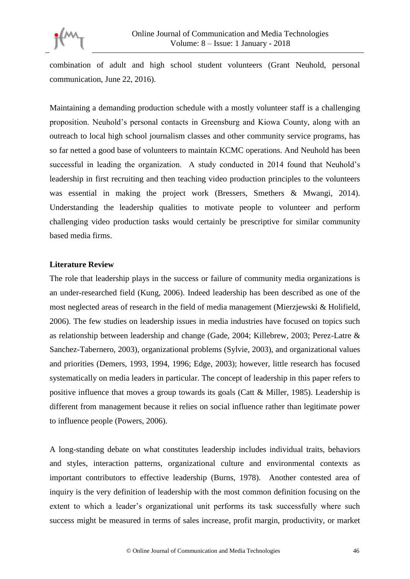

combination of adult and high school student volunteers (Grant Neuhold, personal communication, June 22, 2016).

Maintaining a demanding production schedule with a mostly volunteer staff is a challenging proposition. Neuhold's personal contacts in Greensburg and Kiowa County, along with an outreach to local high school journalism classes and other community service programs, has so far netted a good base of volunteers to maintain KCMC operations. And Neuhold has been successful in leading the organization. A study conducted in 2014 found that Neuhold's leadership in first recruiting and then teaching video production principles to the volunteers was essential in making the project work (Bressers, Smethers & Mwangi, 2014). Understanding the leadership qualities to motivate people to volunteer and perform challenging video production tasks would certainly be prescriptive for similar community based media firms.

### **Literature Review**

The role that leadership plays in the success or failure of community media organizations is an under-researched field (Kung, 2006). Indeed leadership has been described as one of the most neglected areas of research in the field of media management (Mierzjewski & Holifield, 2006). The few studies on leadership issues in media industries have focused on topics such as relationship between leadership and change (Gade, 2004; Killebrew, 2003; Perez-Latre & Sanchez-Tabernero, 2003), organizational problems (Sylvie, 2003), and organizational values and priorities (Demers, 1993, 1994, 1996; Edge, 2003); however, little research has focused systematically on media leaders in particular. The concept of leadership in this paper refers to positive influence that moves a group towards its goals (Catt & Miller, 1985). Leadership is different from management because it relies on social influence rather than legitimate power to influence people (Powers, 2006).

A long-standing debate on what constitutes leadership includes individual traits, behaviors and styles, interaction patterns, organizational culture and environmental contexts as important contributors to effective leadership (Burns, 1978). Another contested area of inquiry is the very definition of leadership with the most common definition focusing on the extent to which a leader's organizational unit performs its task successfully where such success might be measured in terms of sales increase, profit margin, productivity, or market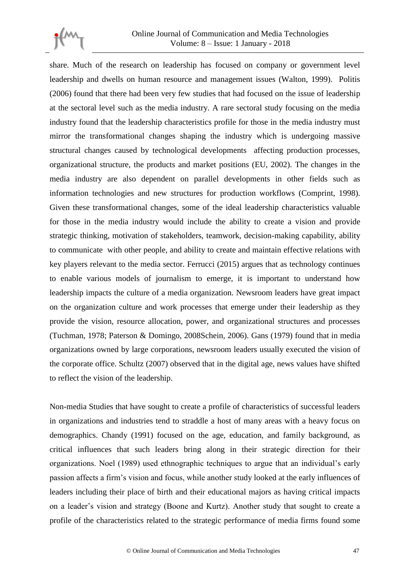

share. Much of the research on leadership has focused on company or government level leadership and dwells on human resource and management issues (Walton, 1999). Politis (2006) found that there had been very few studies that had focused on the issue of leadership at the sectoral level such as the media industry. A rare sectoral study focusing on the media industry found that the leadership characteristics profile for those in the media industry must mirror the transformational changes shaping the industry which is undergoing massive structural changes caused by technological developments affecting production processes, organizational structure, the products and market positions (EU, 2002). The changes in the media industry are also dependent on parallel developments in other fields such as information technologies and new structures for production workflows (Comprint, 1998). Given these transformational changes, some of the ideal leadership characteristics valuable for those in the media industry would include the ability to create a vision and provide strategic thinking, motivation of stakeholders, teamwork, decision-making capability, ability to communicate with other people, and ability to create and maintain effective relations with key players relevant to the media sector. Ferrucci (2015) argues that as technology continues to enable various models of journalism to emerge, it is important to understand how leadership impacts the culture of a media organization. Newsroom leaders have great impact on the organization culture and work processes that emerge under their leadership as they provide the vision, resource allocation, power, and organizational structures and processes (Tuchman, 1978; Paterson & Domingo, 2008Schein, 2006). Gans (1979) found that in media organizations owned by large corporations, newsroom leaders usually executed the vision of the corporate office. Schultz (2007) observed that in the digital age, news values have shifted to reflect the vision of the leadership.

Non-media Studies that have sought to create a profile of characteristics of successful leaders in organizations and industries tend to straddle a host of many areas with a heavy focus on demographics. Chandy (1991) focused on the age, education, and family background, as critical influences that such leaders bring along in their strategic direction for their organizations. Noel (1989) used ethnographic techniques to argue that an individual's early passion affects a firm's vision and focus, while another study looked at the early influences of leaders including their place of birth and their educational majors as having critical impacts on a leader's vision and strategy (Boone and Kurtz). Another study that sought to create a profile of the characteristics related to the strategic performance of media firms found some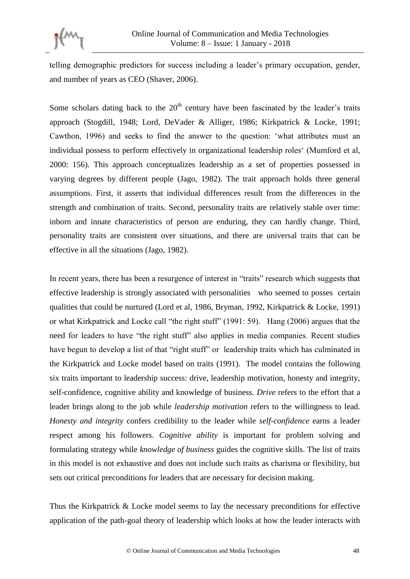

telling demographic predictors for success including a leader's primary occupation, gender, and number of years as CEO (Shaver, 2006).

Some scholars dating back to the  $20<sup>th</sup>$  century have been fascinated by the leader's traits approach (Stogdill, 1948; Lord, DeVader & Alliger, 1986; Kirkpatrick & Locke, 1991; Cawthon, 1996) and seeks to find the answer to the question: 'what attributes must an individual possess to perform effectively in organizational leadership roles' (Mumford et al, 2000: 156). This approach conceptualizes leadership as a set of properties possessed in varying degrees by different people (Jago, 1982). The trait approach holds three general assumptions. First, it asserts that individual differences result from the differences in the strength and combination of traits. Second, personality traits are relatively stable over time: inborn and innate characteristics of person are enduring, they can hardly change. Third, personality traits are consistent over situations, and there are universal traits that can be effective in all the situations (Jago, 1982).

In recent years, there has been a resurgence of interest in "traits" research which suggests that effective leadership is strongly associated with personalities who seemed to posses certain qualities that could be nurtured (Lord et al, 1986, Bryman, 1992, Kirkpatrick & Locke, 1991) or what Kirkpatrick and Locke call "the right stuff" (1991: 59). Hang (2006) argues that the need for leaders to have "the right stuff" also applies in media companies. Recent studies have begun to develop a list of that "right stuff" or leadership traits which has culminated in the Kirkpatrick and Locke model based on traits (1991). The model contains the following six traits important to leadership success: drive, leadership motivation, honesty and integrity, self-confidence, cognitive ability and knowledge of business. *Drive* refers to the effort that a leader brings along to the job while *leadership motivation* refers to the willingness to lead. *Honesty and integrity* confers credibility to the leader while *self-confidence* earns a leader respect among his followers. *Cognitive ability* is important for problem solving and formulating strategy while *knowledge of business* guides the cognitive skills. The list of traits in this model is not exhaustive and does not include such traits as charisma or flexibility, but sets out critical preconditions for leaders that are necessary for decision making.

Thus the Kirkpatrick & Locke model seems to lay the necessary preconditions for effective application of the path-goal theory of leadership which looks at how the leader interacts with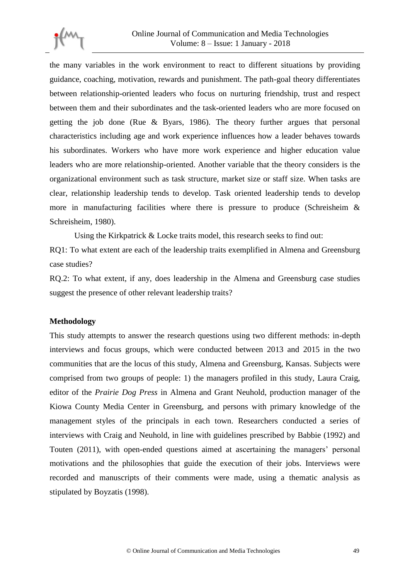

the many variables in the work environment to react to different situations by providing guidance, coaching, motivation, rewards and punishment. The path-goal theory differentiates between relationship-oriented leaders who focus on nurturing friendship, trust and respect between them and their subordinates and the task-oriented leaders who are more focused on getting the job done (Rue & Byars, 1986). The theory further argues that personal characteristics including age and work experience influences how a leader behaves towards his subordinates. Workers who have more work experience and higher education value leaders who are more relationship-oriented. Another variable that the theory considers is the organizational environment such as task structure, market size or staff size. When tasks are clear, relationship leadership tends to develop. Task oriented leadership tends to develop more in manufacturing facilities where there is pressure to produce (Schreisheim  $\&$ Schreisheim, 1980).

Using the Kirkpatrick & Locke traits model, this research seeks to find out:

RQ1: To what extent are each of the leadership traits exemplified in Almena and Greensburg case studies?

RQ.2: To what extent, if any, does leadership in the Almena and Greensburg case studies suggest the presence of other relevant leadership traits?

### **Methodology**

This study attempts to answer the research questions using two different methods: in-depth interviews and focus groups, which were conducted between 2013 and 2015 in the two communities that are the locus of this study, Almena and Greensburg, Kansas. Subjects were comprised from two groups of people: 1) the managers profiled in this study, Laura Craig, editor of the *Prairie Dog Press* in Almena and Grant Neuhold, production manager of the Kiowa County Media Center in Greensburg, and persons with primary knowledge of the management styles of the principals in each town. Researchers conducted a series of interviews with Craig and Neuhold, in line with guidelines prescribed by Babbie (1992) and Touten (2011), with open-ended questions aimed at ascertaining the managers' personal motivations and the philosophies that guide the execution of their jobs. Interviews were recorded and manuscripts of their comments were made, using a thematic analysis as stipulated by Boyzatis (1998).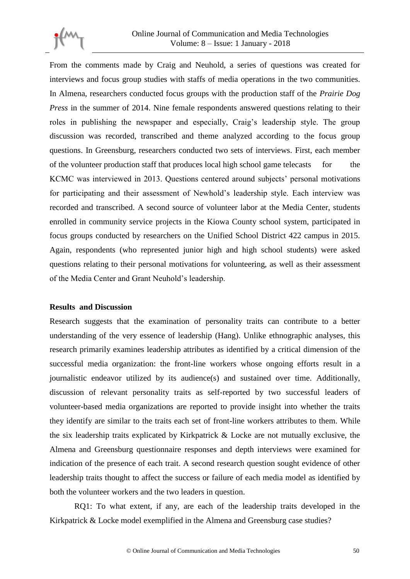

From the comments made by Craig and Neuhold, a series of questions was created for interviews and focus group studies with staffs of media operations in the two communities. In Almena, researchers conducted focus groups with the production staff of the *Prairie Dog Press* in the summer of 2014. Nine female respondents answered questions relating to their roles in publishing the newspaper and especially, Craig's leadership style. The group discussion was recorded, transcribed and theme analyzed according to the focus group questions. In Greensburg, researchers conducted two sets of interviews. First, each member of the volunteer production staff that produces local high school game telecasts for the KCMC was interviewed in 2013. Questions centered around subjects' personal motivations for participating and their assessment of Newhold's leadership style. Each interview was recorded and transcribed. A second source of volunteer labor at the Media Center, students enrolled in community service projects in the Kiowa County school system, participated in focus groups conducted by researchers on the Unified School District 422 campus in 2015. Again, respondents (who represented junior high and high school students) were asked questions relating to their personal motivations for volunteering, as well as their assessment of the Media Center and Grant Neuhold's leadership.

### **Results and Discussion**

Research suggests that the examination of personality traits can contribute to a better understanding of the very essence of leadership (Hang). Unlike ethnographic analyses, this research primarily examines leadership attributes as identified by a critical dimension of the successful media organization: the front-line workers whose ongoing efforts result in a journalistic endeavor utilized by its audience(s) and sustained over time. Additionally, discussion of relevant personality traits as self-reported by two successful leaders of volunteer-based media organizations are reported to provide insight into whether the traits they identify are similar to the traits each set of front-line workers attributes to them. While the six leadership traits explicated by Kirkpatrick & Locke are not mutually exclusive, the Almena and Greensburg questionnaire responses and depth interviews were examined for indication of the presence of each trait. A second research question sought evidence of other leadership traits thought to affect the success or failure of each media model as identified by both the volunteer workers and the two leaders in question.

RQ1: To what extent, if any, are each of the leadership traits developed in the Kirkpatrick & Locke model exemplified in the Almena and Greensburg case studies?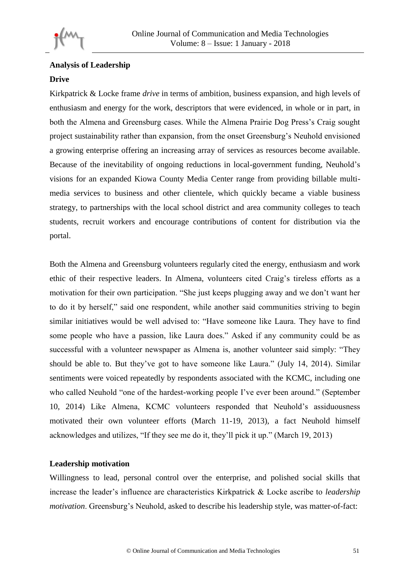

# **Analysis of Leadership Drive**

Kirkpatrick & Locke frame *drive* in terms of ambition, business expansion, and high levels of enthusiasm and energy for the work, descriptors that were evidenced, in whole or in part, in both the Almena and Greensburg cases. While the Almena Prairie Dog Press's Craig sought project sustainability rather than expansion, from the onset Greensburg's Neuhold envisioned a growing enterprise offering an increasing array of services as resources become available. Because of the inevitability of ongoing reductions in local-government funding, Neuhold's visions for an expanded Kiowa County Media Center range from providing billable multimedia services to business and other clientele, which quickly became a viable business strategy, to partnerships with the local school district and area community colleges to teach students, recruit workers and encourage contributions of content for distribution via the portal.

Both the Almena and Greensburg volunteers regularly cited the energy, enthusiasm and work ethic of their respective leaders. In Almena, volunteers cited Craig's tireless efforts as a motivation for their own participation. "She just keeps plugging away and we don't want her to do it by herself," said one respondent, while another said communities striving to begin similar initiatives would be well advised to: "Have someone like Laura. They have to find some people who have a passion, like Laura does." Asked if any community could be as successful with a volunteer newspaper as Almena is, another volunteer said simply: "They should be able to. But they've got to have someone like Laura." (July 14, 2014). Similar sentiments were voiced repeatedly by respondents associated with the KCMC, including one who called Neuhold "one of the hardest-working people I've ever been around." (September 10, 2014) Like Almena, KCMC volunteers responded that Neuhold's assiduousness motivated their own volunteer efforts (March 11-19, 2013), a fact Neuhold himself acknowledges and utilizes, "If they see me do it, they'll pick it up." (March 19, 2013)

## **Leadership motivation**

Willingness to lead, personal control over the enterprise, and polished social skills that increase the leader's influence are characteristics Kirkpatrick & Locke ascribe to *leadership motivation*. Greensburg's Neuhold, asked to describe his leadership style, was matter-of-fact: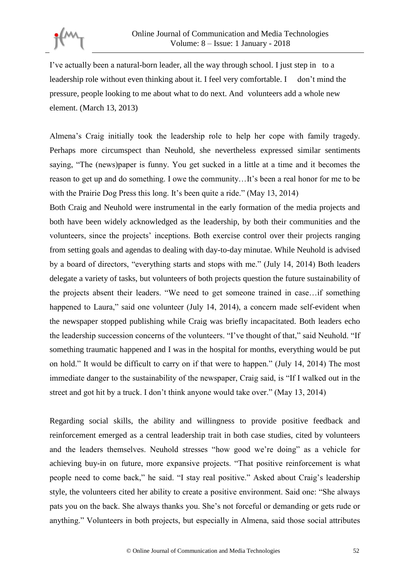

I've actually been a natural-born leader, all the way through school. I just step in to a leadership role without even thinking about it. I feel very comfortable. I don't mind the pressure, people looking to me about what to do next. And volunteers add a whole new element. (March 13, 2013)

Almena's Craig initially took the leadership role to help her cope with family tragedy. Perhaps more circumspect than Neuhold, she nevertheless expressed similar sentiments saying, "The (news)paper is funny. You get sucked in a little at a time and it becomes the reason to get up and do something. I owe the community…It's been a real honor for me to be with the Prairie Dog Press this long. It's been quite a ride." (May 13, 2014)

Both Craig and Neuhold were instrumental in the early formation of the media projects and both have been widely acknowledged as the leadership, by both their communities and the volunteers, since the projects' inceptions. Both exercise control over their projects ranging from setting goals and agendas to dealing with day-to-day minutae. While Neuhold is advised by a board of directors, "everything starts and stops with me." (July 14, 2014) Both leaders delegate a variety of tasks, but volunteers of both projects question the future sustainability of the projects absent their leaders. "We need to get someone trained in case…if something happened to Laura," said one volunteer (July 14, 2014), a concern made self-evident when the newspaper stopped publishing while Craig was briefly incapacitated. Both leaders echo the leadership succession concerns of the volunteers. "I've thought of that," said Neuhold. "If something traumatic happened and I was in the hospital for months, everything would be put on hold." It would be difficult to carry on if that were to happen." (July 14, 2014) The most immediate danger to the sustainability of the newspaper, Craig said, is "If I walked out in the street and got hit by a truck. I don't think anyone would take over." (May 13, 2014)

Regarding social skills, the ability and willingness to provide positive feedback and reinforcement emerged as a central leadership trait in both case studies, cited by volunteers and the leaders themselves. Neuhold stresses "how good we're doing" as a vehicle for achieving buy-in on future, more expansive projects. "That positive reinforcement is what people need to come back," he said. "I stay real positive." Asked about Craig's leadership style, the volunteers cited her ability to create a positive environment. Said one: "She always pats you on the back. She always thanks you. She's not forceful or demanding or gets rude or anything." Volunteers in both projects, but especially in Almena, said those social attributes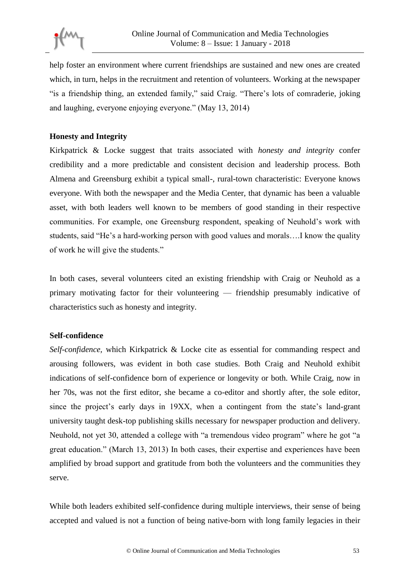

help foster an environment where current friendships are sustained and new ones are created which, in turn, helps in the recruitment and retention of volunteers. Working at the newspaper "is a friendship thing, an extended family," said Craig. "There's lots of comraderie, joking and laughing, everyone enjoying everyone." (May 13, 2014)

## **Honesty and Integrity**

Kirkpatrick & Locke suggest that traits associated with *honesty and integrity* confer credibility and a more predictable and consistent decision and leadership process. Both Almena and Greensburg exhibit a typical small-, rural-town characteristic: Everyone knows everyone. With both the newspaper and the Media Center, that dynamic has been a valuable asset, with both leaders well known to be members of good standing in their respective communities. For example, one Greensburg respondent, speaking of Neuhold's work with students, said "He's a hard-working person with good values and morals….I know the quality of work he will give the students."

In both cases, several volunteers cited an existing friendship with Craig or Neuhold as a primary motivating factor for their volunteering — friendship presumably indicative of characteristics such as honesty and integrity.

## **Self-confidence**

*Self-confidence,* which Kirkpatrick & Locke cite as essential for commanding respect and arousing followers, was evident in both case studies. Both Craig and Neuhold exhibit indications of self-confidence born of experience or longevity or both. While Craig, now in her 70s, was not the first editor, she became a co-editor and shortly after, the sole editor, since the project's early days in 19XX, when a contingent from the state's land-grant university taught desk-top publishing skills necessary for newspaper production and delivery. Neuhold, not yet 30, attended a college with "a tremendous video program" where he got "a great education." (March 13, 2013) In both cases, their expertise and experiences have been amplified by broad support and gratitude from both the volunteers and the communities they serve.

While both leaders exhibited self-confidence during multiple interviews, their sense of being accepted and valued is not a function of being native-born with long family legacies in their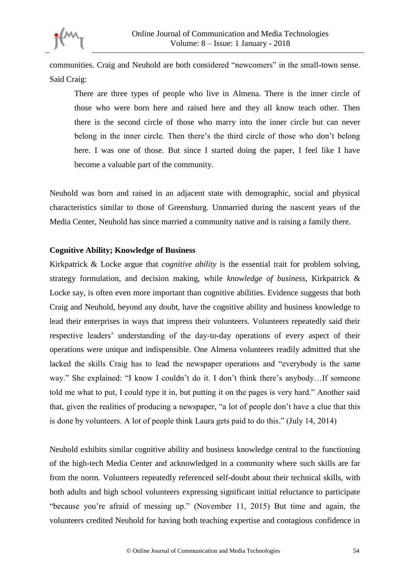

communities. Craig and Neuhold are both considered "newcomers" in the small-town sense. Said Craig:

There are three types of people who live in Almena. There is the inner circle of those who were born here and raised here and they all know teach other. Then there is the second circle of those who marry into the inner circle but can never belong in the inner circle. Then there's the third circle of those who don't belong here. I was one of those. But since I started doing the paper, I feel like I have become a valuable part of the community.

Neuhold was born and raised in an adjacent state with demographic, social and physical characteristics similar to those of Greensburg. Unmarried during the nascent years of the Media Center, Neuhold has since married a community native and is raising a family there.

### **Cognitive Ability; Knowledge of Business**

Kirkpatrick & Locke argue that *cognitive ability* is the essential trait for problem solving, strategy formulation, and decision making, while *knowledge of business*, Kirkpatrick & Locke say, is often even more important than cognitive abilities. Evidence suggests that both Craig and Neuhold, beyond any doubt, have the cognitive ability and business knowledge to lead their enterprises in ways that impress their volunteers. Volunteers repeatedly said their respective leaders' understanding of the day-to-day operations of every aspect of their operations were unique and indispensible. One Almena volunteers readily admitted that she lacked the skills Craig has to lead the newspaper operations and "everybody is the same way." She explained: "I know I couldn't do it. I don't think there's anybody...If someone told me what to put, I could type it in, but putting it on the pages is very hard." Another said that, given the realities of producing a newspaper, "a lot of people don't have a clue that this is done by volunteers. A lot of people think Laura gets paid to do this." (July 14, 2014)

Neuhold exhibits similar cognitive ability and business knowledge central to the functioning of the high-tech Media Center and acknowledged in a community where such skills are far from the norm. Volunteers repeatedly referenced self-doubt about their technical skills, with both adults and high school volunteers expressing significant initial reluctance to participate "because you're afraid of messing up." (November 11, 2015) But time and again, the volunteers credited Neuhold for having both teaching expertise and contagious confidence in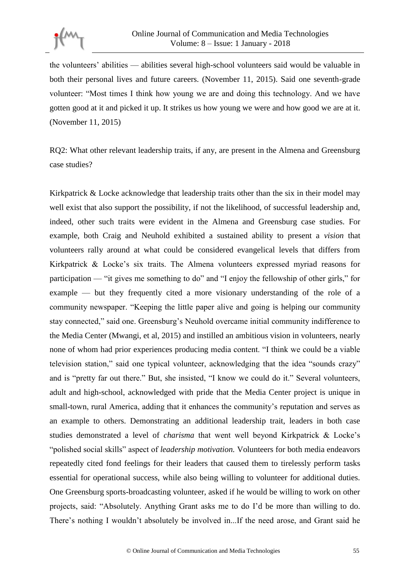

the volunteers' abilities — abilities several high-school volunteers said would be valuable in both their personal lives and future careers. (November 11, 2015). Said one seventh-grade volunteer: "Most times I think how young we are and doing this technology. And we have gotten good at it and picked it up. It strikes us how young we were and how good we are at it. (November 11, 2015)

RQ2: What other relevant leadership traits, if any, are present in the Almena and Greensburg case studies?

Kirkpatrick & Locke acknowledge that leadership traits other than the six in their model may well exist that also support the possibility, if not the likelihood, of successful leadership and, indeed, other such traits were evident in the Almena and Greensburg case studies. For example, both Craig and Neuhold exhibited a sustained ability to present a *vision* that volunteers rally around at what could be considered evangelical levels that differs from Kirkpatrick & Locke's six traits. The Almena volunteers expressed myriad reasons for participation — "it gives me something to do" and "I enjoy the fellowship of other girls," for example — but they frequently cited a more visionary understanding of the role of a community newspaper. "Keeping the little paper alive and going is helping our community stay connected," said one. Greensburg's Neuhold overcame initial community indifference to the Media Center (Mwangi, et al, 2015) and instilled an ambitious vision in volunteers, nearly none of whom had prior experiences producing media content. "I think we could be a viable television station," said one typical volunteer, acknowledging that the idea "sounds crazy" and is "pretty far out there." But, she insisted, "I know we could do it." Several volunteers, adult and high-school, acknowledged with pride that the Media Center project is unique in small-town, rural America, adding that it enhances the community's reputation and serves as an example to others. Demonstrating an additional leadership trait, leaders in both case studies demonstrated a level of *charisma* that went well beyond Kirkpatrick & Locke's "polished social skills" aspect of *leadership motivation.* Volunteers for both media endeavors repeatedly cited fond feelings for their leaders that caused them to tirelessly perform tasks essential for operational success, while also being willing to volunteer for additional duties. One Greensburg sports-broadcasting volunteer, asked if he would be willing to work on other projects, said: "Absolutely. Anything Grant asks me to do I'd be more than willing to do. There's nothing I wouldn't absolutely be involved in...If the need arose, and Grant said he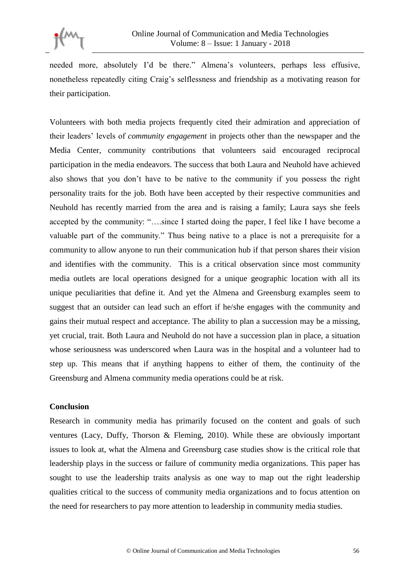

needed more, absolutely I'd be there." Almena's volunteers, perhaps less effusive, nonetheless repeatedly citing Craig's selflessness and friendship as a motivating reason for their participation.

Volunteers with both media projects frequently cited their admiration and appreciation of their leaders' levels of *community engagement* in projects other than the newspaper and the Media Center, community contributions that volunteers said encouraged reciprocal participation in the media endeavors. The success that both Laura and Neuhold have achieved also shows that you don't have to be native to the community if you possess the right personality traits for the job. Both have been accepted by their respective communities and Neuhold has recently married from the area and is raising a family; Laura says she feels accepted by the community: "….since I started doing the paper, I feel like I have become a valuable part of the community." Thus being native to a place is not a prerequisite for a community to allow anyone to run their communication hub if that person shares their vision and identifies with the community. This is a critical observation since most community media outlets are local operations designed for a unique geographic location with all its unique peculiarities that define it. And yet the Almena and Greensburg examples seem to suggest that an outsider can lead such an effort if he/she engages with the community and gains their mutual respect and acceptance. The ability to plan a succession may be a missing, yet crucial, trait. Both Laura and Neuhold do not have a succession plan in place, a situation whose seriousness was underscored when Laura was in the hospital and a volunteer had to step up. This means that if anything happens to either of them, the continuity of the Greensburg and Almena community media operations could be at risk.

#### **Conclusion**

Research in community media has primarily focused on the content and goals of such ventures (Lacy, Duffy, Thorson & Fleming, 2010). While these are obviously important issues to look at, what the Almena and Greensburg case studies show is the critical role that leadership plays in the success or failure of community media organizations. This paper has sought to use the leadership traits analysis as one way to map out the right leadership qualities critical to the success of community media organizations and to focus attention on the need for researchers to pay more attention to leadership in community media studies.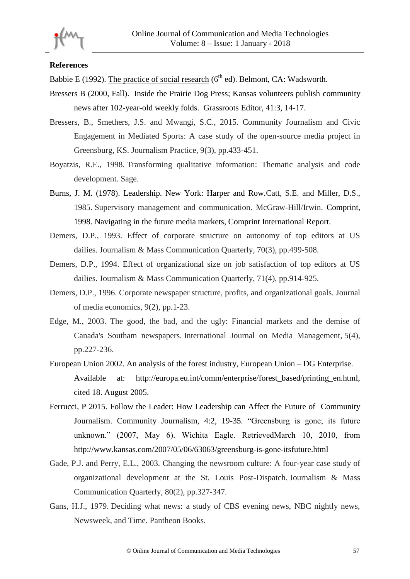

### **References**

Babbie E (1992). The practice of social research ( $6<sup>th</sup>$  ed). Belmont, CA: Wadsworth.

- Bressers B (2000, Fall). Inside the Prairie Dog Press; Kansas volunteers publish community news after 102-year-old weekly folds. Grassroots Editor, 41:3, 14-17.
- Bressers, B., Smethers, J.S. and Mwangi, S.C., 2015. Community Journalism and Civic Engagement in Mediated Sports: A case study of the open-source media project in Greensburg, KS. Journalism Practice, 9(3), pp.433-451.
- Boyatzis, R.E., 1998. Transforming qualitative information: Thematic analysis and code development. Sage.
- Burns, J. M. (1978). Leadership. New York: Harper and Row.Catt, S.E. and Miller, D.S., 1985. Supervisory management and communication. McGraw-Hill/Irwin. Comprint, 1998. Navigating in the future media markets, Comprint International Report.
- Demers, D.P., 1993. Effect of corporate structure on autonomy of top editors at US dailies. Journalism & Mass Communication Quarterly, 70(3), pp.499-508.
- Demers, D.P., 1994. Effect of organizational size on job satisfaction of top editors at US dailies. Journalism & Mass Communication Quarterly, 71(4), pp.914-925.
- Demers, D.P., 1996. Corporate newspaper structure, profits, and organizational goals. Journal of media economics, 9(2), pp.1-23.
- Edge, M., 2003. The good, the bad, and the ugly: Financial markets and the demise of Canada's Southam newspapers. International Journal on Media Management, 5(4), pp.227-236.
- European Union 2002. An analysis of the forest industry, European Union DG Enterprise. Available at: http://europa.eu.int/comm/enterprise/forest\_based/printing\_en.html, cited 18. August 2005.
- Ferrucci, P 2015. Follow the Leader: How Leadership can Affect the Future of Community Journalism. Community Journalism, 4:2, 19-35. "Greensburg is gone; its future unknown." (2007, May 6). Wichita Eagle. RetrievedMarch 10, 2010, from http://www.kansas.com/2007/05/06/63063/greensburg-is-gone-itsfuture.html
- Gade, P.J. and Perry, E.L., 2003. Changing the newsroom culture: A four-year case study of organizational development at the St. Louis Post-Dispatch. Journalism & Mass Communication Quarterly, 80(2), pp.327-347.
- Gans, H.J., 1979. Deciding what news: a study of CBS evening news, NBC nightly news, Newsweek, and Time. Pantheon Books.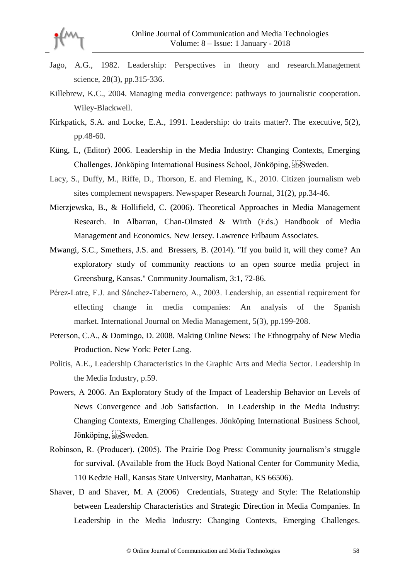

- Jago, A.G., 1982. Leadership: Perspectives in theory and research.Management science, 28(3), pp.315-336.
- Killebrew, K.C., 2004. Managing media convergence: pathways to journalistic cooperation. Wiley-Blackwell.
- Kirkpatick, S.A. and Locke, E.A., 1991. Leadership: do traits matter?. The executive, 5(2), pp.48-60.
- Küng, L, (Editor) 2006. Leadership in the Media Industry: Changing Contexts, Emerging Challenges. Jönköping International Business School, Jönköping, <sup>1</sup> sepSweden.
- Lacy, S., Duffy, M., Riffe, D., Thorson, E. and Fleming, K., 2010. Citizen journalism web sites complement newspapers. Newspaper Research Journal, 31(2), pp.34-46.
- Mierzjewska, B., & Hollifield, C. (2006). Theoretical Approaches in Media Management Research. In Albarran, Chan-Olmsted & Wirth (Eds.) Handbook of Media Management and Economics. New Jersey. Lawrence Erlbaum Associates.
- Mwangi, S.C., Smethers, J.S. and Bressers, B. (2014). "If you build it, will they come? An exploratory study of community reactions to an open source media project in Greensburg, Kansas." Community Journalism, 3:1, 72-86.
- Pérez‐Latre, F.J. and Sánchez‐Tabernero, A., 2003. Leadership, an essential requirement for effecting change in media companies: An analysis of the Spanish market. International Journal on Media Management, 5(3), pp.199-208.
- Peterson, C.A., & Domingo, D. 2008. Making Online News: The Ethnogrpahy of New Media Production. New York: Peter Lang.
- Politis, A.E., Leadership Characteristics in the Graphic Arts and Media Sector. Leadership in the Media Industry, p.59.
- Powers, A 2006. An Exploratory Study of the Impact of Leadership Behavior on Levels of News Convergence and Job Satisfaction. In Leadership in the Media Industry: Changing Contexts, Emerging Challenges. Jönköping International Business School, Jönköping, sepSweden.
- Robinson, R. (Producer). (2005). The Prairie Dog Press: Community journalism's struggle for survival. (Available from the Huck Boyd National Center for Community Media, 110 Kedzie Hall, Kansas State University, Manhattan, KS 66506).
- Shaver, D and Shaver, M. A (2006) Credentials, Strategy and Style: The Relationship between Leadership Characteristics and Strategic Direction in Media Companies. In Leadership in the Media Industry: Changing Contexts, Emerging Challenges.